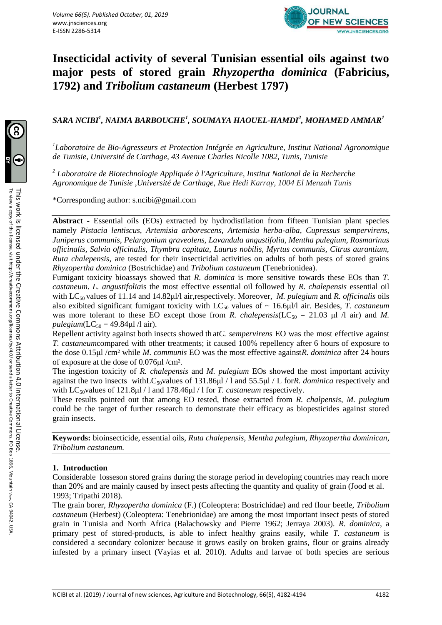

# **Insecticidal activity of several Tunisian essential oils against two major pests of stored grain** *Rhyzopertha dominica* **(Fabricius, 1792) and** *Tribolium castaneum* **(Herbest 1797)**

# *SARA NCIBI<sup>1</sup> , NAIMA BARBOUCHE<sup>1</sup> , SOUMAYA HAOUEL-HAMDI<sup>2</sup> , MOHAMED AMMAR<sup>1</sup>*

*1 Laboratoire de Bio-Agresseurs et Protection Intégrée en Agriculture, Institut National Agronomique de Tunisie, Université de Carthage, 43 Avenue Charles Nicolle 1082, Tunis, Tunisie* 

*2 Laboratoire de Biotechnologie Appliquée à l'Agriculture, Institut National de la Recherche Agronomique de Tunisie ,Université de Carthage, Rue Hedi Karray, 1004 El Menzah Tunis* 

\*Corresponding author: s.ncibi@gmail.com

**Abstract -** Essential oils (EOs) extracted by hydrodistilation from fifteen Tunisian plant species namely *Pistacia lentiscus, Artemisia arborescens, Artemisia herba-alba, Cupressus sempervirens, Juniperus communis, Pelargonium graveolens, Lavandula angustifolia, Mentha pulegium, Rosmarinus officinalis, Salvia officinalis, Thymbra capitata, Laurus nobilis, Myrtus communis, Citrus aurantium, Ruta chalepensis*, are tested for their insecticidal activities on adults of both pests of stored grains *Rhyzopertha dominica* (Bostrichidae) and *Tribolium castaneum* (Tenebrionidea).

Fumigant toxicity bioassays showed that *R. dominica* is more sensitive towards these EOs than *T. castaneum*. *L. angustifolia*is the most effective essential oil followed by *R. chalepensis* essential oil with LC50 values of 11.14 and 14.82μl/l air,respectively. Moreover, *M. pulegium* and *R. officinalis* oils also exibited significant fumigant toxicity with LC<sup>50</sup> values of ~ 16.6μl/l air. Besides, *T. castaneum* was more tolerant to these EO except those from *R. chalepensis*( $LC_{50} = 21.03 \text{ µl} /l \text{ air}$ ) and *M. pulegium*( $LC_{50} = 49.84 \mu$ l /l air).

Repellent activity against both insects showed th at*C. sempervirens* EO was the most effective against *T. castaneum*compared with other treatments; it caused 100% repellency after 6 hours of exposure to the dose 0.15μl /cm² while *M. communis* EO was the most effective against*R. dominica* after 24 hours of exposure at the dose of 0.076μl /cm².

The ingestion toxicity of *R. chalepensis* and *M. pulegium* EOs showed the most important activity against the two insects withLC50values of 131.86μl / l and 55.5μl / L for*R. dominica* respectively and with LC<sub>50</sub>values of 121.8μl / 1 and 178.46μl / 1 for *T. castaneum* respectively.

These results pointed out that among EO tested, those extracted from *R. chalpensis*, *M. pulegium* could be the target of further research to demonstrate their efficacy as biopesticides against stored grain insects.

**Keywords:** bioinsecticide, essential oils, *Ruta chalepensis*, *Mentha pulegium, Rhyzopertha dominican*, *Tribolium castaneum.*

# **1. Introduction**

Considerable losseson stored grains during the storage period in developing countries may reach more than 20% and are mainly caused by insect pests affecting the quantity and quality of grain (Jood et al. 1993; Tripathi 2018).

The grain borer, *Rhyzopertha dominica* (F.) (Coleoptera: Bostrichidae) and red flour beetle, *Tribolium castaneum* (Herbest) (Coleoptera: Tenebrionidae) are among the most important insect pests of stored grain in Tunisia and North Africa (Balachowsky and Pierre 1962; Jerraya 2003). *R. dominica*, a primary pest of stored-products, is able to infect healthy grains easily, while *T. castaneum* is considered a secondary colonizer because it grows easily on broken grains, flour or grains already infested by a primary insect (Vayias et al. 2010). Adults and larvae of both species are serious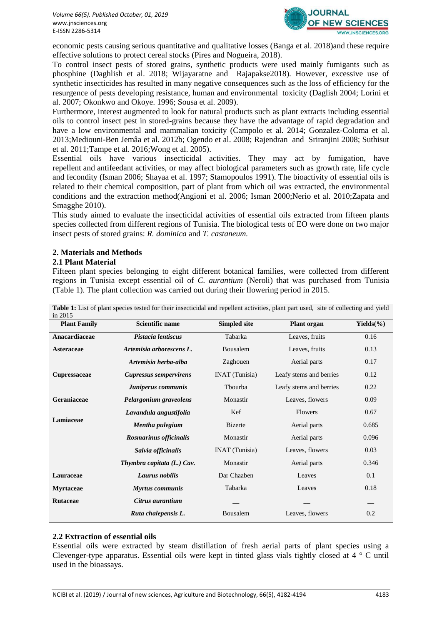

economic pests causing serious quantitative and qualitative losses (Banga et al. 2018)and these require effective solutions to protect cereal stocks (Pires and Nogueira, 2018).

To control insect pests of stored grains, synthetic products were used mainly fumigants such as phosphine (Daghlish et al. 2018; Wijayaratne and Rajapakse2018). However, excessive use of synthetic insecticides has resulted in many negative consequences such as the loss of efficiency for the resurgence of pests developing resistance, human and environmental toxicity (Daglish 2004; Lorini et al. 2007; Okonkwo and Okoye. 1996; Sousa et al. 2009).

Furthermore, interest augmented to look for natural products such as plant extracts including essential oils to control insect pest in stored-grains because they have the advantage of rapid degradation and have a low environmental and mammalian toxicity (Campolo et al. 2014; Gonzalez-Coloma et al. 2013;Mediouni-Ben Jemâa et al. 2012b; Ogendo et al. 2008; Rajendran and Sriranjini 2008; Suthisut et al. 2011;Tampe et al. 2016;Wong et al. 2005).

Essential oils have various insecticidal activities. They may act by fumigation, have repellent and antifeedant activities, or may affect biological parameters such as growth rate, life cycle and fecondity (Isman 2006; Shayaa et al. 1997; Stamopoulos 1991). The bioactivity of essential oils is related to their chemical composition, part of plant from which oil was extracted, the environmental conditions and the extraction method(Angioni et al. 2006; Isman 2000;Nerio et al. 2010;Zapata and Smagghe 2010).

This study aimed to evaluate the insecticidal activities of essential oils extracted from fifteen plants species collected from different regions of Tunisia. The biological tests of EO were done on two major insect pests of stored grains: *R. dominica* and *T. castaneum.*

# **2. Materials and Methods**

# **2.1 Plant Material**

Fifteen plant species belonging to eight different botanical families, were collected from different regions in Tunisia except essential oil of *C. aurantium* (Neroli) that was purchased from Tunisia (Table 1). The plant collection was carried out during their flowering period in 2015.

| <b>Plant Family</b> | <b>Scientific name</b>        | <b>Simpled site</b>   | <b>Plant organ</b>      | Yields $(\% )$ |
|---------------------|-------------------------------|-----------------------|-------------------------|----------------|
| Anacardiaceae       | Pistacia lentiscus            | Tabarka               | Leaves, fruits          | 0.16           |
| Asteraceae          | Artemisia arborescens L.      | Bousalem              | Leaves, fruits          | 0.13           |
|                     | Artemisia herba-alba          | Zaghouen              | Aerial parts            | 0.17           |
| <b>Cupressaceae</b> | <b>Cupressus sempervirens</b> | <b>INAT</b> (Tunisia) | Leafy stems and berries | 0.12           |
|                     | Juniperus communis            | Tbourba               | Leafy stems and berries | 0.22           |
| Geraniaceae         | Pelargonium graveolens        | Monastir              | Leaves, flowers         | 0.09           |
|                     | Lavandula angustifolia        | Kef                   | Flowers                 | 0.67           |
| Lamiaceae           | Mentha pulegium               | <b>Bizerte</b>        | Aerial parts            | 0.685          |
|                     | Rosmarinus officinalis        | Monastir              | Aerial parts            | 0.096          |
|                     | Salvia officinalis            | <b>INAT</b> (Tunisia) | Leaves, flowers         | 0.03           |
|                     | Thymbra capitata (L.) Cav.    | Monastir              | Aerial parts            | 0.346          |
| Lauraceae           | Laurus nobilis                | Dar Chaaben           | Leaves                  | 0.1            |
| <b>Myrtaceae</b>    | <b>Myrtus communis</b>        | Tabarka               | Leaves                  | 0.18           |
| <b>Rutaceae</b>     | Citrus aurantium              |                       |                         |                |
|                     | Ruta chalepensis L.           | Bousalem              | Leaves, flowers         | 0.2            |

**Table 1:** List of plant species tested for their insecticidal and repellent activities, plant part used, site of collecting and yield in 2015

#### **2.2 Extraction of essential oils**

Essential oils were extracted by steam distillation of fresh aerial parts of plant species using a Clevenger-type apparatus. Essential oils were kept in tinted glass vials tightly closed at 4 ° C until used in the bioassays.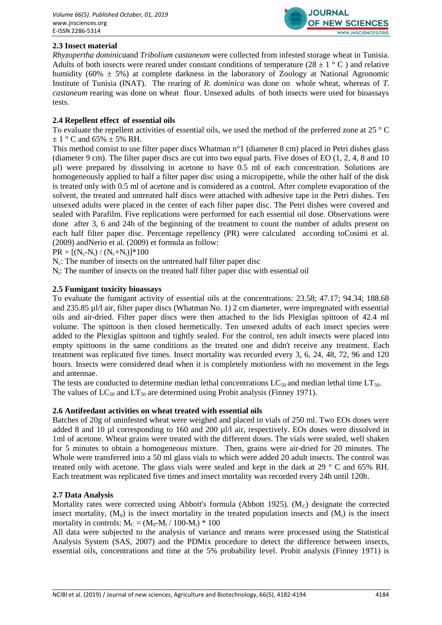

# **2.3 Insect material**

*Rhyzopertha dominica*and *Tribolium castaneum* were collected from infested storage wheat in Tunisia. Adults of both insects were reared under constant conditions of temperature (28  $\pm$  1 ° C) and relative humidity ( $60\% \pm 5\%$ ) at complete darkness in the laboratory of Zoology at National Agronomic Institute of Tunisia (INAT). The rearing of *R. dominica* was done on whole wheat, whereas of *T. castaneum* rearing was done on wheat flour. Unsexed adults of both insects were used for bioassays tests.

# **2.4 Repellent effect of essential oils**

To evaluate the repellent activities of essential oils*,* we used the method of the preferred zone at 25 ° C  $\pm$  1 ° C and 65%  $\pm$  5% RH.

This method consist to use filter paper discs Whatman n°1 (diameter 8 cm) placed in Petri dishes glass (diameter 9 cm). The filter paper discs are cut into two equal parts. Five doses of EO (1, 2, 4, 8 and 10  $\mu$ l) were prepared by dissolving in acetone to have 0.5 ml of each concentration. Solutions are homogeneously applied to half a filter paper disc using a micropipette, while the other half of the disk is treated only with 0.5 ml of acetone and is considered as a control. After complete evaporation of the solvent, the treated and untreated half discs were attached with adhesive tape in the Petri dishes. Ten unsexed adults were placed in the center of each filter paper disc. The Petri dishes were covered and sealed with Parafilm. Five replications were performed for each essential oil dose. Observations were done after 3, 6 and 24h of the beginning of the treatment to count the number of adults present on each half filter paper disc. Percentage repellency (PR) were calculated according toCosimi et al. (2009) andNerio et al. (2009) et formula as follow:

 $PR = [(N_c-N_t) / (N_c+N_t)]*100$ 

 $N_c$ : The number of insects on the untreated half filter paper disc

 $N_t$ : The number of insects on the treated half filter paper disc with essential oil

# **2.5 Fumigant toxicity bioassays**

To evaluate the fumigant activity of essential oils at the concentrations: 23.58; 47.17; 94.34; 188.68 and 235.85 µl/l air, filter paper discs (Whatman No. 1) 2 cm diameter, were impregnated with essential oils and air-dried. Filter paper discs were then attached to the lids Plexiglas spittoon of 42.4 ml volume. The spittoon is then closed hermetically. Ten unsexed adults of each insect species were added to the Plexiglas spittoon and tightly sealed. For the control, ten adult insects were placed into empty spittoons in the same conditions as the treated one and didn't receive any treatment. Each treatment was replicated five times. Insect mortality was recorded every 3, 6, 24, 48, 72, 96 and 120 hours. Insects were considered dead when it is completely motionless with no movement in the legs and antennae.

The tests are conducted to determine median lethal concentrations  $LC_{50}$  and median lethal time  $LT_{50}$ . The values of  $LC_{50}$  and  $LT_{50}$  are determined using Probit analysis (Finney 1971).

# **2.6 Antifeedant activities on wheat treated with essential oils**

Batches of 20g of uninfested wheat were weighed and placed in vials of 250 ml. Two EOs doses were added 8 and 10 µl corresponding to 160 and 200 µl/l air, respectively. EOs doses were dissolved in 1ml of acetone. Wheat grains were treated with the different doses. The vials were sealed, well shaken for 5 minutes to obtain a homogeneous mixture. Then, grains were air-dried for 20 minutes. The Whole were transferred into a 50 ml glass vials to which were added 20 adult insects. The control was treated only with acetone. The glass vials were sealed and kept in the dark at 29 ° C and 65% RH. Each treatment was replicated five times and insect mortality was recorded every 24h until 120h.

# **2.7 Data Analysis**

Mortality rates were corrected using Abbott's formula (Abbott 1925). ( $M<sub>C</sub>$ ) designate the corrected insect mortality,  $(M_0)$  is the insect mortality in the treated population insects and  $(M_t)$  is the insect mortality in controls:  $M_C = (M_0-M_t / 100 - M_t) * 100$ 

All data were subjected to the analysis of variance and means were processed using the Statistical Analysis System (SAS, 2007) and the PDMix procedure to detect the difference between insects, essential oils, concentrations and time at the 5% probability level. Probit analysis (Finney 1971) is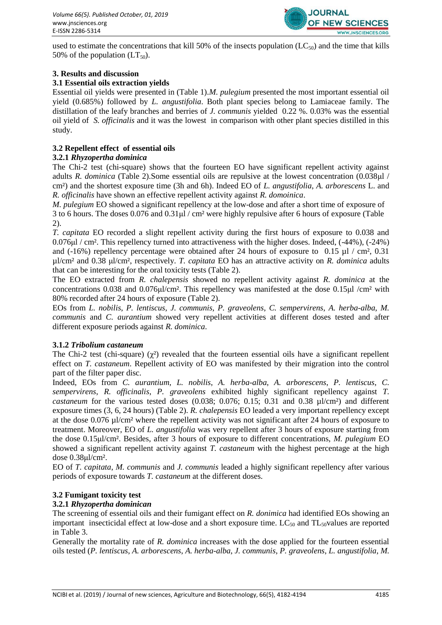

used to estimate the concentrations that kill 50% of the insects population  $(LC_{50})$  and the time that kills 50% of the population  $(LT_{50})$ .

# **3. Results and discussion**

# **3.1 Essential oils extraction yields**

Essential oil yields were presented in (Table 1).*M. pulegium* presented the most important essential oil yield (0.685%) followed by *L. angustifolia*. Both plant species belong to Lamiaceae family. The distillation of the leafy branches and berries of *J. communis* yielded 0.22 %. 0.03% was the essential oil yield of *S. officinalis* and it was the lowest in comparison with other plant species distilled in this study.

# **3.2 Repellent effect of essential oils**

# **3.2.1** *Rhyzopertha dominica*

The Chi-2 test (chi-square) shows that the fourteen EO have significant repellent activity against adults *R. dominica* (Table 2).Some essential oils are repulsive at the lowest concentration (0.038μl / cm²) and the shortest exposure time (3h and 6h). Indeed EO of *L. angustifolia*, *A. arborescens* L. and *R. officinalis* have shown an effective repellent activity against *R. domoinica*.

*M. pulegium* EO showed a significant repellency at the low-dose and after a short time of exposure of 3 to 6 hours. The doses  $0.076$  and  $0.31 \mu$  / cm<sup>2</sup> were highly repulsive after 6 hours of exposure (Table 2).

*T. capitata* EO recorded a slight repellent activity during the first hours of exposure to 0.038 and 0.076μl / cm². This repellency turned into attractiveness with the higher doses. Indeed, (-44%), (-24%) and (-16%) repellency percentage were obtained after 24 hours of exposure to  $0.15 \mu$  / cm<sup>2</sup>, 0.31 µl/cm² and 0.38 μl/cm², respectively. *T. capitata* EO has an attractive activity on *R. dominica* adults that can be interesting for the oral toxicity tests (Table 2).

The EO extracted from *R. chalepensis* showed no repellent activity against *R. dominica* at the concentrations 0.038 and 0.076μl/cm². This repellency was manifested at the dose 0.15μl /cm² with 80% recorded after 24 hours of exposure (Table 2).

EOs from *L. nobilis*, *P. lentiscus*, *J. communis*, *P. graveolens*, *C. sempervirens*, *A. herba-alba*, *M. communis* and *C. aurantium* showed very repellent activities at different doses tested and after different exposure periods against *R. dominica*.

# **3.1.2** *Tribolium castaneum*

The Chi-2 test (chi-square)  $(\gamma^2)$  revealed that the fourteen essential oils have a significant repellent effect on *T. castaneum*. Repellent activity of EO was manifested by their migration into the control part of the filter paper disc.

Indeed, EOs from *C. aurantium*, *L. nobilis*, *A. herba-alba*, *A. arborescens*, *P. lentiscus*, *C. sempervirens*, *R. officinalis*, *P. graveolens* exhibited highly significant repellency against *T. castaneum* for the various tested doses (0.038; 0.076; 0.15; 0.31 and 0.38 µl/cm²) and different exposure times (3, 6, 24 hours) (Table 2). *R. chalepensis* EO leaded a very important repellency except at the dose 0.076 µl/cm² where the repellent activity was not significant after 24 hours of exposure to treatment. Moreover, EO of *L. angustifolia* was very repellent after 3 hours of exposure starting from the dose 0.15μl/cm². Besides, after 3 hours of exposure to different concentrations, *M. pulegium* EO showed a significant repellent activity against *T. castaneum* with the highest percentage at the high dose 0.38μl/cm².

EO of *T. capitata*, *M. communis* and *J. communis* leaded a highly significant repellency after various periods of exposure towards *T. castaneum* at the different doses.

# **3.2 Fumigant toxicity test**

# **3.2.1** *Rhyzopertha dominican*

The screening of essential oils and their fumigant effect on *R. donimica* had identified EOs showing an important insecticidal effect at low-dose and a short exposure time.  $LC_{50}$  and  $TL_{50}$ values are reported in Table 3.

Generally the mortality rate of *R. dominica* increases with the dose applied for the fourteen essential oils tested (*P. lentiscus*, *A. arborescens*, *A. herba-alba*, *J. communis*, *P. graveolens*, *L. angustifolia*, *M.*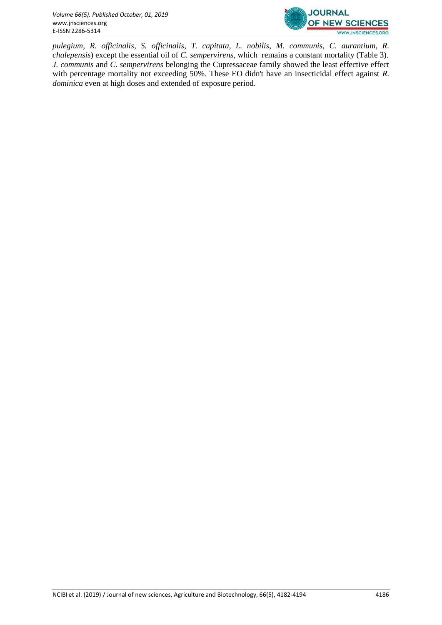

*pulegium*, *R. officinalis*, *S. officinalis*, *T. capitata*, *L. nobilis*, *M. communis*, *C. aurantium*, *R. chalepensis*) except the essential oil of *C. sempervirens*, which remains a constant mortality (Table 3). *J. communis* and *C. sempervirens* belonging the Cupressaceae family showed the least effective effect with percentage mortality not exceeding 50%. These EO didn't have an insecticidal effect against *R*. *dominica* even at high doses and extended of exposure period.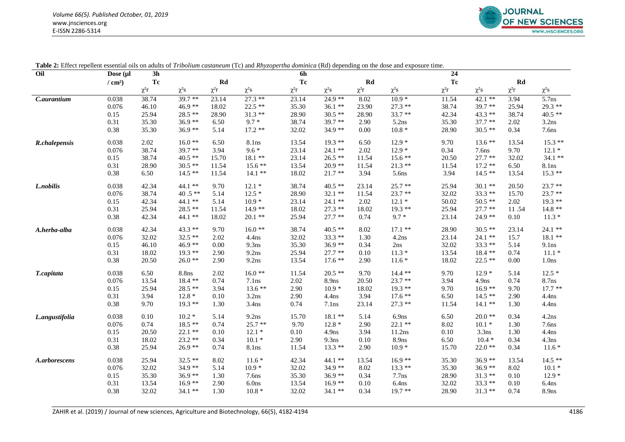

| Oil            | Dose (µl              | 3 <sub>h</sub> |            |            | $\ldots$ . The complete the contract of $\alpha$ and $\alpha$ and $\alpha$ are $\alpha$ and $\alpha$ are $\alpha$ . The contract of $\alpha$ | 6h         |                   |           |            | 24         |                   |            |                   |
|----------------|-----------------------|----------------|------------|------------|----------------------------------------------------------------------------------------------------------------------------------------------|------------|-------------------|-----------|------------|------------|-------------------|------------|-------------------|
|                | $/$ cm <sup>2</sup> ) | Tc             |            | Rd         |                                                                                                                                              | Tc         |                   | Rd        |            | Tc         |                   | Rd         |                   |
|                |                       | $\chi^2 r$     | $\chi^2 s$ | $\chi^2 r$ | $\chi^2 s$                                                                                                                                   | $\chi^2 r$ | $\chi^2 s$        | $\chi^2r$ | $\chi^2 s$ | $\chi^2 r$ | $\chi^2 s$        | $\chi^2 r$ | $\chi^2 s$        |
| C.aurantium    | 0.038                 | 38.74          | $39.7**$   | 23.14      | $27.3**$                                                                                                                                     | 23.14      | 24.9 **           | 8.02      | $10.9*$    | 11.54      | $42.1$ **         | 3.94       | 5.7ns             |
|                | 0.076                 | 46.10          | 46.9 **    | 18.02      | $22.5$ **                                                                                                                                    | 35.30      | $36.1**$          | 23.90     | $27.3**$   | 38.74      | $39.7**$          | 25.94      | 29.3 **           |
|                | 0.15                  | 25.94          | 28.5 **    | 28.90      | $31.3**$                                                                                                                                     | 28.90      | $30.5**$          | 28.90     | $33.7**$   | 42.34      | 43.3 **           | 38.74      | $40.5$ **         |
|                | 0.31                  | 35.30          | $36.9**$   | 6.50       | $9.7*$                                                                                                                                       | 38.74      | $39.7**$          | 2.90      | 5.2ns      | 35.30      | $37.7**$          | 2.02       | 3.2ns             |
|                | 0.38                  | 35.30          | $36.9**$   | 5.14       | $17.2**$                                                                                                                                     | 32.02      | 34.9 **           | 0.00      | $10.8\; *$ | 28.90      | $30.5**$          | 0.34       | 7.6ns             |
| R.chalepensis  | 0.038                 | 2.02           | $16.0**$   | 6.50       | 8.1ns                                                                                                                                        | 13.54      | $19.3$ **         | 6.50      | $12.9*$    | 9.70       | $13.6**$          | 13.54      | $15.3**$          |
|                | 0.076                 | 38.74          | 39.7 **    | 3.94       | $9.6*$                                                                                                                                       | 23.14      | $24.1**$          | 2.02      | $12.9*$    | 0.34       | 7.6ns             | 9.70       | $12.1*$           |
|                | 0.15                  | 38.74          | $40.5$ **  | 15.70      | $18.1**$                                                                                                                                     | 23.14      | $26.5**$          | 11.54     | $15.6**$   | 20.50      | $27.7**$          | 32.02      | $34.1$ **         |
|                | 0.31                  | 28.90          | $30.5**$   | 11.54      | $15.6**$                                                                                                                                     | 13.54      | $20.9**$          | 11.54     | $21.3**$   | 11.54      | $17.2**$          | 6.50       | 8.1ns             |
|                | 0.38                  | 6.50           | $14.5**$   | 11.54      | $14.1**$                                                                                                                                     | 18.02      | $21.7**$          | 3.94      | 5.6ns      | 3.94       | $14.5**$          | 13.54      | $15.3**$          |
| L.nobilis      | 0.038                 | 42.34          | $44.1$ **  | 9.70       | $12.1*$                                                                                                                                      | 38.74      | $40.5**$          | 23.14     | $25.7**$   | 25.94      | $30.1**$          | 20.50      | $23.7**$          |
|                | 0.076                 | 38.74          | 40.5 $**$  | 5.14       | $12.5*$                                                                                                                                      | 28.90      | $32.1**$          | 11.54     | $23.7**$   | 32.02      | $33.3**$          | 15.70      | $23.7**$          |
|                | 0.15                  | 42.34          | $44.1$ **  | 5.14       | $10.9*$                                                                                                                                      | 23.14      | $24.1$ **         | 2.02      | $12.1*$    | 50.02      | $50.5$ **         | 2.02       | $19.3**$          |
|                | 0.31                  | 25.94          | 28.5 **    | 11.54      | $14.9**$                                                                                                                                     | 18.02      | $27.3**$          | 18.02     | $19.3**$   | 25.94      | $27.7**$          | 11.54      | $14.8**$          |
|                | 0.38                  | 42.34          | 44.1 **    | 18.02      | $20.1**$                                                                                                                                     | 25.94      | $27.7**$          | 0.74      | $9.7 *$    | 23.14      | 24.9 **           | 0.10       | $11.3*$           |
| A.herba-alba   | 0.038                 | 42.34          | $43.3**$   | 9.70       | $16.0**$                                                                                                                                     | 38.74      | $40.5$ **         | 8.02      | $17.1$ **  | 28.90      | $30.5$ **         | 23.14      | $24.1$ **         |
|                | 0.076                 | 32.02          | $32.5$ **  | 2.02       | $4.4$ ns                                                                                                                                     | 32.02      | $33.3**$          | 1.30      | 4.2ns      | 23.14      | 24.1 **           | 15.7       | $18.1**$          |
|                | 0.15                  | 46.10          | 46.9 **    | 0.00       | 9.3 <sub>ns</sub>                                                                                                                            | 35.30      | $36.9**$          | 0.34      | 2ns        | 32.02      | 33.3 **           | 5.14       | 9.1ns             |
|                | 0.31                  | 18.02          | $19.3**$   | 2.90       | 9.2ns                                                                                                                                        | 25.94      | $27.7**$          | 0.10      | $11.3*$    | 13.54      | $18.4**$          | 0.74       | $11.1*$           |
|                | 0.38                  | 20.50          | $26.0**$   | 2.90       | 9.2ns                                                                                                                                        | 13.54      | $17.6**$          | 2.90      | $11.6*$    | 18.02      | $22.5**$          | 0.00       | 1.0 <sub>ns</sub> |
| T.capitata     | 0.038                 | 6.50           | 8.8ns      | 2.02       | $16.0**$                                                                                                                                     | 11.54      | $20.5$ **         | 9.70      | $14.4$ **  | 9.70       | $12.9*$           | 5.14       | $12.5*$           |
|                | 0.076                 | 13.54          | $18.4**$   | 0.74       | 7.1ns                                                                                                                                        | 2.02       | 8.9ns             | 20.50     | $23.7**$   | 3.94       | 4.9 <sub>ns</sub> | 0.74       | 8.7ns             |
|                | 0.15                  | 25.94          | 28.5 **    | 3.94       | $13.6**$                                                                                                                                     | 2.90       | $10.9*$           | 18.02     | $19.3**$   | 9.70       | $16.9**$          | 9.70       | $17.7**$          |
|                | 0.31                  | 3.94           | $12.8*$    | 0.10       | 3.2ns                                                                                                                                        | 2.90       | $4.4$ ns          | 3.94      | $17.6**$   | 6.50       | $14.5**$          | 2.90       | $4.4$ ns          |
|                | 0.38                  | 9.70           | $19.3$ **  | 1.30       | 3.4 <sub>ns</sub>                                                                                                                            | 0.74       | 7.1ns             | 23.14     | $27.3**$   | 11.54      | $14.1$ **         | 1.30       | $4.4$ ns          |
| L.angustifolia | 0.038                 | 0.10           | $10.2*$    | 5.14       | 9.2ns                                                                                                                                        | 15.70      | $18.1**$          | 5.14      | 6.9ns      | 6.50       | $20.0**$          | 0.34       | 4.2ns             |
|                | 0.076                 | 0.74           | $18.5**$   | 0.74       | $25.7**$                                                                                                                                     | 9.70       | $12.8*$           | 2.90      | $22.1$ **  | 8.02       | $10.1*$           | 1.30       | 7.6ns             |
|                | 0.15                  | 20.50          | 22.1 **    | 0.10       | $12.1*$                                                                                                                                      | 0.10       | 4.9 <sub>ns</sub> | 3.94      | 11.2ns     | 0.10       | 3.3ns             | 1.30       | 4.4ns             |
|                | 0.31                  | 18.02          | $23.2**$   | 0.34       | $10.1*$                                                                                                                                      | 2.90       | 9.3ns             | 0.10      | 8.9ns      | 6.50       | $10.4*$           | 0.34       | 4.3ns             |
|                | 0.38                  | 25.94          | $26.9**$   | 0.74       | 8.1ns                                                                                                                                        | 11.54      | $13.3**$          | 2.90      | $10.9*$    | 15.70      | $22.0**$          | 0.34       | $11.6*$           |
| A.arborescens  | 0.038                 | 25.94          | $32.5$ **  | 8.02       | $11.6*$                                                                                                                                      | 42.34      | 44.1 **           | 13.54     | $16.9**$   | 35.30      | $36.9**$          | 13.54      | $14.5**$          |
|                | 0.076                 | 32.02          | $34.9**$   | 5.14       | $10.9*$                                                                                                                                      | 32.02      | 34.9 **           | 8.02      | $13.3**$   | 35.30      | $36.9**$          | 8.02       | $10.1*$           |
|                | 0.15                  | 35.30          | $36.9**$   | 1.30       | 7.6 <sub>ns</sub>                                                                                                                            | 35.30      | $36.9**$          | 0.34      | $7.7$ ns   | 28.90      | $31.3**$          | 0.10       | $12.9*$           |
|                | 0.31                  | 13.54          | $16.9**$   | 2.90       | 6.0 <sub>ns</sub>                                                                                                                            | 13.54      | $16.9**$          | 0.10      | 6.4ns      | 32.02      | $33.3**$          | 0.10       | 6.4 <sub>ns</sub> |
|                | 0.38                  | 32.02          | 34.1 **    | 1.30       | $10.8*$                                                                                                                                      | 32.02      | 34.1 **           | 0.34      | $19.7**$   | 28.90      | $31.3**$          | 0.74       | 8.9ns             |

| <b>Table 2:</b> Effect repellent essential oils on adults of Tribolium castaneum (Tc) and Rhyzopertha dominica (Rd) depending on the dose and exposure time. |  |  |  |  |
|--------------------------------------------------------------------------------------------------------------------------------------------------------------|--|--|--|--|
|--------------------------------------------------------------------------------------------------------------------------------------------------------------|--|--|--|--|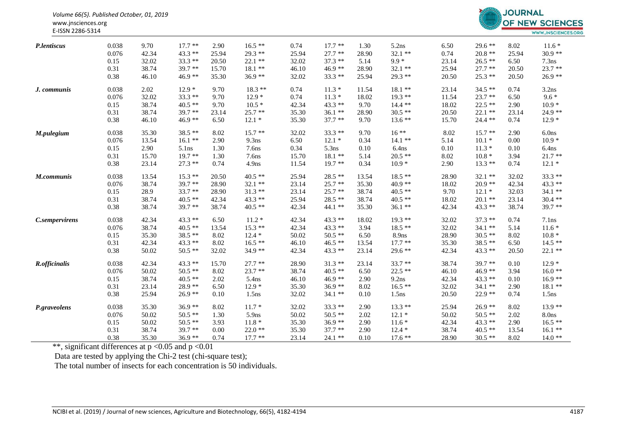

| P.lentiscus           | 0.038 | 9.70  | $17.7**$  | 2.90  | $16.5**$          | 0.74  | $17.7**$  | 1.30  | 5.2ns             | 6.50  | $29.6**$  | 8.02  | $11.6*$           |
|-----------------------|-------|-------|-----------|-------|-------------------|-------|-----------|-------|-------------------|-------|-----------|-------|-------------------|
|                       | 0.076 | 42.34 | $43.3**$  | 25.94 | $29.3**$          | 25.94 | $27.7**$  | 28.90 | $32.1**$          | 0.74  | $20.8**$  | 25.94 | $30.9**$          |
|                       | 0.15  | 32.02 | $33.3**$  | 20.50 | $22.1$ **         | 32.02 | $37.3**$  | 5.14  | $9.9*$            | 23.14 | $26.5$ ** | 6.50  | 7.3 <sub>ns</sub> |
|                       | 0.31  | 38.74 | $39.7**$  | 15.70 | $18.1**$          | 46.10 | $46.9**$  | 28.90 | 32.1 **           | 25.94 | $27.7**$  | 20.50 | $23.7**$          |
|                       | 0.38  | 46.10 | $46.9**$  | 35.30 | $36.9**$          | 32.02 | $33.3**$  | 25.94 | 29.3 **           | 20.50 | $25.3**$  | 20.50 | 26.9 **           |
| J. communis           | 0.038 | 2.02  | $12.9*$   | 9.70  | $18.3**$          | 0.74  | $11.3*$   | 11.54 | $18.1**$          | 23.14 | $34.5**$  | 0.74  | 3.2ns             |
|                       | 0.076 | 32.02 | 33.3 **   | 9.70  | $12.9*$           | 0.74  | $11.3*$   | 18.02 | $19.3**$          | 11.54 | $23.7**$  | 6.50  | $9.6*$            |
|                       | 0.15  | 38.74 | $40.5$ ** | 9.70  | $10.5*$           | 42.34 | $43.3**$  | 9.70  | $14.4$ **         | 18.02 | $22.5$ ** | 2.90  | $10.9*$           |
|                       | 0.31  | 38.74 | $39.7**$  | 23.14 | $25.7**$          | 35.30 | $36.1**$  | 28.90 | $30.5**$          | 20.50 | $22.1**$  | 23.14 | 24.9 **           |
|                       | 0.38  | 46.10 | $46.9**$  | 6.50  | $12.1*$           | 35.30 | $37.7**$  | 9.70  | $13.6**$          | 15.70 | 24.4 **   | 0.74  | $12.9*$           |
| M.pulegium            | 0.038 | 35.30 | $38.5**$  | 8.02  | $15.7**$          | 32.02 | $33.3**$  | 9.70  | $16***$           | 8.02  | $15.7**$  | 2.90  | 6.0ns             |
|                       | 0.076 | 13.54 | $16.1**$  | 2.90  | 9.3ns             | 6.50  | $12.1*$   | 0.34  | $14.1$ **         | 5.14  | $10.1*$   | 0.00  | $10.9*$           |
|                       | 0.15  | 2.90  | 5.1ns     | 1.30  | 7.6ns             | 0.34  | 5.3ns     | 0.10  | 6.4 <sub>ns</sub> | 0.10  | $11.3*$   | 0.10  | 6.4ns             |
|                       | 0.31  | 15.70 | $19.7**$  | 1.30  | 7.6 <sub>ns</sub> | 15.70 | $18.1**$  | 5.14  | $20.5$ **         | 8.02  | $10.8*$   | 3.94  | $21.7**$          |
|                       | 0.38  | 23.14 | $27.3$ ** | 0.74  | 4.9 <sub>ns</sub> | 11.54 | $19.7**$  | 0.34  | $10.9*$           | 2.90  | $13.3**$  | 0.74  | $12.1*$           |
| M.communis            | 0.038 | 13.54 | $15.3**$  | 20.50 | $40.5**$          | 25.94 | $28.5**$  | 13.54 | $18.5**$          | 28.90 | $32.1$ ** | 32.02 | 33.3 **           |
|                       | 0.076 | 38.74 | $39.7**$  | 28.90 | $32.1**$          | 23.14 | $25.7**$  | 35.30 | $40.9**$          | 18.02 | $20.9**$  | 42.34 | 43.3 **           |
|                       | 0.15  | 28.9  | $33.7**$  | 28.90 | $31.3**$          | 23.14 | $25.7**$  | 38.74 | $40.5$ **         | 9.70  | $12.1*$   | 32.03 | $34.1$ **         |
|                       | 0.31  | 38.74 | $40.5$ ** | 42.34 | $43.3**$          | 25.94 | 28.5 **   | 38.74 | $40.5**$          | 18.02 | $20.1$ ** | 23.14 | $30.4$ **         |
|                       | 0.38  | 38.74 | $39.7**$  | 38.74 | $40.5**$          | 42.34 | $44.1$ ** | 35.30 | $36.1**$          | 42.34 | $43.3**$  | 38.74 | 39.7 **           |
| <i>C.sempervirens</i> | 0.038 | 42.34 | 43.3 **   | 6.50  | $11.2*$           | 42.34 | $43.3**$  | 18.02 | $19.3**$          | 32.02 | $37.3**$  | 0.74  | 7.1ns             |
|                       | 0.076 | 38.74 | $40.5$ ** | 13.54 | $15.3**$          | 42.34 | $43.3**$  | 3.94  | $18.5**$          | 32.02 | $34.1**$  | 5.14  | $11.6*$           |
|                       | 0.15  | 35.30 | 38.5 **   | 8.02  | $12.4*$           | 50.02 | $50.5**$  | 6.50  | 8.9ns             | 28.90 | $30.5**$  | 8.02  | $10.8 *$          |
|                       | 0.31  | 42.34 | $43.3**$  | 8.02  | $16.5**$          | 46.10 | $46.5$ ** | 13.54 | $17.7**$          | 35.30 | 38.5 **   | 6.50  | $14.5**$          |
|                       | 0.38  | 50.02 | $50.5**$  | 32.02 | 34.9 **           | 42.34 | $43.3**$  | 23.14 | 29.6 **           | 42.34 | 43.3 **   | 20.50 | $22.1$ **         |
| R.officinalis         | 0.038 | 42.34 | 43.3 **   | 15.70 | $27.7**$          | 28.90 | $31.3**$  | 23.14 | $33.7**$          | 38.74 | 39.7 **   | 0.10  | $12.9*$           |
|                       | 0.076 | 50.02 | $50.5**$  | 8.02  | $23.7**$          | 38.74 | $40.5$ ** | 6.50  | $22.5**$          | 46.10 | $46.9**$  | 3.94  | $16.0**$          |
|                       | 0.15  | 38.74 | $40.5$ ** | 2.02  | 5.4ns             | 46.10 | $46.9**$  | 2.90  | 9.2ns             | 42.34 | 43.3 **   | 0.10  | $16.9**$          |
|                       | 0.31  | 23.14 | $28.9**$  | 6.50  | $12.9*$           | 35.30 | $36.9**$  | 8.02  | $16.5**$          | 32.02 | $34.1**$  | 2.90  | $18.1**$          |
|                       | 0.38  | 25.94 | $26.9**$  | 0.10  | 1.5ns             | 32.02 | $34.1$ ** | 0.10  | 1.5ns             | 20.50 | $22.9**$  | 0.74  | 1.5ns             |
| P.graveolens          | 0.038 | 35.30 | $36.9**$  | 8.02  | $11.7*$           | 32.02 | $33.3**$  | 2.90  | $13.3**$          | 25.94 | $26.9**$  | 8.02  | $13.9**$          |
|                       | 0.076 | 50.02 | $50.5**$  | 1.30  | 5.9 <sub>ns</sub> | 50.02 | $50.5**$  | 2.02  | $12.1*$           | 50.02 | $50.5**$  | 2.02  | 8.0ns             |
|                       | 0.15  | 50.02 | $50.5**$  | 3.93  | $11.8*$           | 35.30 | $36.9**$  | 2.90  | $11.6*$           | 42.34 | 43.3 **   | 2.90  | $16.5**$          |
|                       | 0.31  | 38.74 | 39.7 **   | 0.00  | $22.0**$          | 35.30 | $37.7**$  | 2.90  | $12.4*$           | 38.74 | $40.5**$  | 13.54 | $16.1**$          |
|                       | 0.38  | 35.30 | $36.9**$  | 0.74  | $17.7**$          | 23.14 | $24.1$ ** | 0.10  | $17.6$ **         | 28.90 | $30.5**$  | 8.02  | $14.0**$          |

\*\*, significant differences at  $p < 0.05$  and  $p < 0.01$ 

Data are tested by applying the Chi-2 test (chi-square test);

The total number of insects for each concentration is 50 individuals.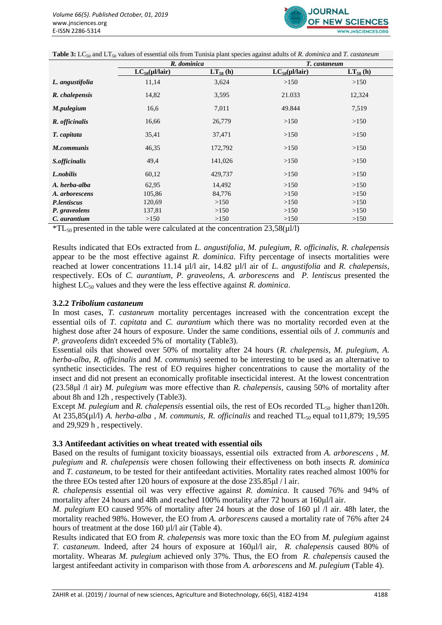

| <b>Table 3:</b> LC <sub>50</sub> and LT <sub>50</sub> values of essential oils from Tunisia plant species against adults of R. dominica and T. castaneum |  |
|----------------------------------------------------------------------------------------------------------------------------------------------------------|--|
|----------------------------------------------------------------------------------------------------------------------------------------------------------|--|

|                 | R. dominica             |               | T. castaneum            |               |  |  |
|-----------------|-------------------------|---------------|-------------------------|---------------|--|--|
|                 | $LC_{50}(\mu l / Iair)$ | $LT_{50}$ (h) | $LC_{50}(\mu l / Iair)$ | $LT_{50}$ (h) |  |  |
| L. angustifolia | 11,14                   | 3,624         | >150                    | >150          |  |  |
| R. chalepensis  | 14,82                   | 3,595         | 21.033                  | 12,324        |  |  |
| M.pulegium      | 16,6                    | 7,011         | 49.844                  | 7,519         |  |  |
| R. officinalis  | 16,66                   | 26,779        | >150                    | >150          |  |  |
| T. capitata     | 35,41                   | 37,471        | >150                    | >150          |  |  |
| M.communis      | 46,35                   | 172,792       | >150                    | >150          |  |  |
| S.officinalis   | 49,4                    | 141,026       | >150                    | >150          |  |  |
| L.nobilis       | 60,12                   | 429,737       | >150                    | >150          |  |  |
| A. herba-alba   | 62,95                   | 14,492        | >150                    | >150          |  |  |
| A. arborescens  | 105,86                  | 84,776        | >150                    | >150          |  |  |
| P.lentiscus     | 120,69                  | >150          | >150                    | >150          |  |  |
| P. graveolens   | 137,81                  | >150          | >150                    | >150          |  |  |
| C. aurantium    | >150                    | >150          | >150                    | >150          |  |  |

 $*TL_{50}$  presented in the table were calculated at the concentration 23,58( $\mu$ l/l)

Results indicated that EOs extracted from *L. angustifolia*, *M. pulegium*, *R. officinalis*, *R. chalepensis* appear to be the most effective against *R. dominica*. Fifty percentage of insects mortalities were reached at lower concentrations 11.14 µl/l air, 14.82 µl/l air of *L. angustifolia* and *R. chalepensis*, respectively. EOs of *C. aurantium*, *P. graveolens*, *A. arborescens* and *P. lentiscus* presented the highest LC<sub>50</sub> values and they were the less effective against *R. dominica*.

#### **3.2.2** *Tribolium castaneum*

In most cases, *T. castaneum* mortality percentages increased with the concentration except the essential oils of *T. capitata* and *C. aurantium* which there was no mortality recorded even at the highest dose after 24 hours of exposure. Under the same conditions, essential oils of *J. communis* and *P. graveolens* didn't exceeded 5% of mortality (Table3).

Essential oils that showed over 50% of mortality after 24 hours (*R. chalepensis*, *M. pulegium*, *A. herba-alba*, *R. officinalis* and *M. communis*) seemed to be interesting to be used as an alternative to synthetic insecticides. The rest of EO requires higher concentrations to cause the mortality of the insect and did not present an economically profitable insecticidal interest. At the lowest concentration (23.58μl /l air) *M. pulegium* was more effective than *R. chalepensis*, causing 50% of mortality after about 8h and 12h , respectively (Table3).

Except *M. pulegium* and *R. chalepensis* essential oils, the rest of EOs recorded TL<sub>50</sub> higher than120h. At 235,85(µl/l) *A. herba-alba, M. communis, R. officinalis* and reached TL<sub>50</sub> equal to11,879; 19,595 and 29,929 h , respectively.

#### **3.3 Antifeedant activities on wheat treated with essential oils**

Based on the results of fumigant toxicity bioassays, essential oils extracted from *A. arborescens* , *M. pulegium* and *R. chalepensis* were chosen following their effectiveness on both insects *R. dominica* and *T. castaneum*, to be tested for their antifeedant activities. Mortality rates reached almost 100% for the three EOs tested after 120 hours of exposure at the dose 235.85μl / l air.

*R. chalepensis* essential oil was very effective against *R. dominica*. It caused 76% and 94% of mortality after 24 hours and 48h and reached 100% mortality after 72 hours at 160ul/l air.

*M. pulegium* EO caused 95% of mortality after 24 hours at the dose of 160 µl /l air. 48h later, the mortality reached 98%. However, the EO from *A. arborescens* caused a mortality rate of 76% after 24 hours of treatment at the dose 160 µl/l air (Table 4).

Results indicated that EO from *R. chalepensis* was more toxic than the EO from *M. pulegium* against *T. castaneum*. Indeed, after 24 hours of exposure at 160μl/l air, *R. chalepensis* caused 80% of mortality. Whearas *M. pulegium* achieved only 37%. Thus, the EO from *R. chalepensis* caused the largest antifeedant activity in comparison with those from *A. arborescens* and *M. pulegium* (Table 4).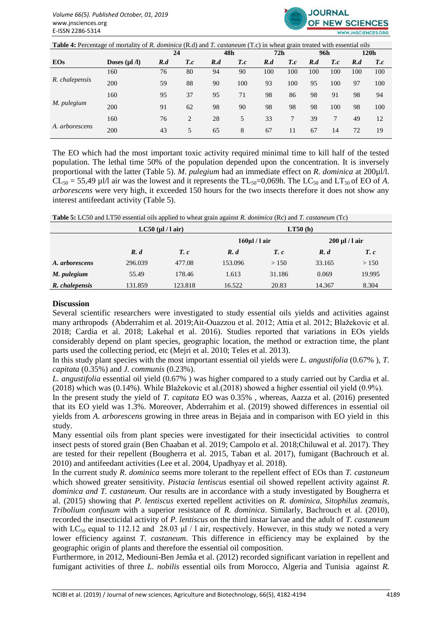

**Table 4:** Percentage of mortality of *R. dominica* (R.d) and *T. castaneum* (T.c) in wheat grain treated with essential oils

|                |                    | 24  |             |     | 48h         | 72h |     | 96h |     |     | 120h        |
|----------------|--------------------|-----|-------------|-----|-------------|-----|-----|-----|-----|-----|-------------|
| <b>EOs</b>     | Doses $(\mu$ l /l) | R.d | $T_{\rm c}$ | R.d | $T_{\rm c}$ | R.d | T.c | R.d | T.c | R.d | $T_{\rm c}$ |
| R. chalepensis | 160                | 76  | 80          | 94  | 90          | 100 | 100 | 100 | 100 | 100 | 100         |
|                | 200                | 59  | 88          | 90  | 100         | 93  | 100 | 95  | 100 | 97  | 100         |
| M. pulegium    | 160                | 95  | 37          | 95  | 71          | 98  | 86  | 98  | 91  | 98  | 94          |
|                | 200                | 91  | 62          | 98  | 90          | 98  | 98  | 98  | 100 | 98  | 100         |
| A. arborescens | 160                | 76  | 2           | 28  | 5           | 33  |     | 39  | 7   | 49  | 12          |
|                | 200                | 43  | 5           | 65  | 8           | 67  | 11  | 67  | 14  | 72  | 19          |

The EO which had the most important toxic activity required minimal time to kill half of the tested population. The lethal time 50% of the population depended upon the concentration. It is inversely proportional with the latter (Table 5). *M. pulegium* had an immediate effect on *R. dominica* at 200 µl/l.  $CL_{50} = 55,49$  µl/l air was the lowest and it represents the  $TL_{50} = 0,069$ h. The  $LC_{50}$  and  $LT_{50}$  of EO of *A*. *arborescens* were very high, it exceeded 150 hours for the two insects therefore it does not show any interest antifeedant activity (Table 5).

| Table 5: LC50 and LT50 essential oils applied to wheat grain against R. donimica (Rc) and T. castaneum (Tc) |
|-------------------------------------------------------------------------------------------------------------|
|-------------------------------------------------------------------------------------------------------------|

|                |         | $LC50$ (µl / l air) |                     | LT50(h) |        |                   |  |  |  |  |
|----------------|---------|---------------------|---------------------|---------|--------|-------------------|--|--|--|--|
|                |         |                     | $160 \mu$ l / l air |         |        | $200 \mu l/l$ air |  |  |  |  |
|                | R. d    | $T_c$ .             | R. d                | $T_c$ . | R. d   | $T_c$ .           |  |  |  |  |
| A. arborescens | 296.039 | 477.08              | 153.096             | >150    | 33.165 | > 150             |  |  |  |  |
| M. pulegium    | 55.49   | 178.46              | 1.613               | 31.186  | 0.069  | 19.995            |  |  |  |  |
| R. chalepensis | 131.859 | 123.818             | 16.522              | 20.83   | 14.367 | 8.304             |  |  |  |  |

#### **Discussion**

Several scientific researchers were investigated to study essential oils yields and activities against many arthropods (Abderrahim et al. 2019;Ait-Ouazzou et al. 2012; Attia et al. 2012; Blažekovic et al. 2018; Cardia et al. 2018; Lakehal et al. 2016). Studies reported that variations in EOs yields considerably depend on plant species, geographic location, the method or extraction time, the plant parts used the collecting period, etc (Mejri et al. 2010; Teles et al. 2013).

In this study plant species with the most important essential oil yields were *L. angustifolia* (0.67% ), *T. capitata* (0.35%) and *J. communis* (0.23%).

*L. angustifolia* essential oil yield (0.67% ) was higher compared to a study carried out by Cardia et al. (2018) which was (0.14%). While Blažekovic et al.(2018) showed a higher essential oil yield (0.9%).

In the present study the yield of *T. capitata* EO was 0.35% , whereas, Aazza et al. (2016) presented that its EO yield was 1.3%. Moreover, Abderrahim et al. (2019) showed differences in essential oil yields from *A. arborescens* growing in three areas in Bejaia and in comparison with EO yield in this study.

Many essential oils from plant species were investigated for their insecticidal activities to control insect pests of stored grain (Ben Chaaban et al. 2019; Campolo et al. 2018;Chiluwal et al. 2017). They are tested for their repellent (Bougherra et al. 2015, Taban et al. 2017), fumigant (Bachrouch et al. 2010) and antifeedant activities (Lee et al. 2004, Upadhyay et al. 2018).

In the current study *R. dominica* seems more tolerant to the repellent effect of EOs than *T. castaneum* which showed greater sensitivity. *Pistacia lentiscus* esential oil showed repellent activity against *R*. *dominica and T. castaneum*. Our results are in accordance with a study investigated by Bougherra et al. (2015) showing that *P. lentiscus* exerted repellent activities on *R. dominica, Sitophilus zeamais*, *Tribolium confusum* with a superior resistance of *R. dominica*. Similarly, Bachrouch et al. (2010), recorded the insecticidal activity of *P. lentiscus* on the third instar larvae and the adult of *T. castaneum* with LC<sub>50</sub> equal to 112.12 and 28.03 μl / l air, respectively. However, in this study we noted a very lower efficiency against *T. castaneum*. This difference in efficiency may be explained by the geographic origin of plants and therefore the essential oil composition.

Furthermore, in 2012, Mediouni-Ben Jemâa et al. (2012) recorded significant variation in repellent and fumigant activities of three *L. nobilis* essential oils from Morocco, Algeria and Tunisia against *R.*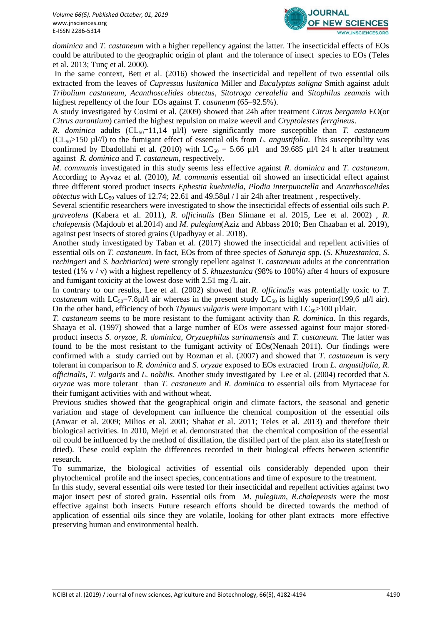

*dominica* and *T. castaneum* with a higher repellency against the latter. The insecticidal effects of EOs could be attributed to the geographic origin of plant and the tolerance of insect species to EOs (Teles et al. 2013; Tunç et al. 2000).

In the same context, Bett et al. (2016) showed the insecticidal and repellent of two essential oils extracted from the leaves of *Cupressus lusitanica* Miller and *Eucalyptus saligna* Smith against adult *Tribolium castaneum*, *Acanthoscelides obtectus*, *Sitotroga cerealella* and *Sitophilus zeamais* with highest repellency of the four EOs against *T. casaneum* (65–92.5%).

A study investigated by Cosimi et al. (2009) showed that 24h after treatment *Citrus bergamia* EO(or *Citrus aurantium*) carried the highest repulsion on maize weevil and *Cryptolestes ferrgineus*.

*R. dominica* adults (CL<sub>50</sub>=11,14 µl/l) were significantly more susceptible than *T. castaneum*  $(CL<sub>50</sub> > 150 \mu l/l)$  to the fumigant effect of essential oils from *L. angustifolia*. This susceptibility was confirmed by Ebadollahi et al. (2010) with  $LC_{50} = 5.66 \text{ µl/l}$  and 39.685  $\mu$ l/l 24 h after treatment against *R. dominica* and *T. castaneum*, respectively.

*M. communis* investigated in this study seems less effective against *R. dominica* and *T. castaneum*. According to Ayvaz et al. (2010), *M. communis* essential oil showed an insecticidal effect against three different stored product insects *Ephestia kuehniella*, *Plodia interpunctella* and *Acanthoscelides obtectus* with  $LC_{50}$  values of 12.74; 22.61 and 49.58 $\mu$ l / l air 24h after treatment, respectively.

Several scientific researchers were investigated to show the insecticidal effects of essential oils such *P. graveolens* (Kabera et al. 2011), *R. officinalis* (Ben Slimane et al. 2015, Lee et al. 2002) , *R. chalepensis* (Majdoub et al.2014) and *M. pulegium*(Aziz and Abbass 2010; Ben Chaaban et al. 2019), against pest insects of stored grains (Upadhyay et al. 2018).

Another study investigated by Taban et al. (2017) showed the insecticidal and repellent activities of essential oils on *T. castaneum*. In fact, EOs from of three species of *Satureja* spp. (*S. Khuzestanica*, *S. rechingeri* and *S. bachtiarica*) were strongly repellent against *T. castaneum* adults at the concentration tested (1% v / v) with a highest repellency of *S. khuzestanica* (98% to 100%) after 4 hours of exposure and fumigant toxicity at the lowest dose with 2.51 mg /L air.

In contrary to our results, Lee et al. (2002) showed that *R. officinalis* was potentially toxic to *T. castaneum* with  $LC_{50}$ =7.8μl/l air whereas in the present study  $LC_{50}$  is highly superior(199,6 μl/l air). On the other hand, efficiency of both *Thymus vulgaris* were important with  $LC_{50}$  > 100 µl/lair.

*T. castaneum* seems to be more resistant to the fumigant activity than *R. dominica*. In this regards, Shaaya et al. (1997) showed that a large number of EOs were assessed against four major storedproduct insects *S. oryzae*, *R. dominica*, *Oryzaephilus surinamensis* and *T. castaneum*. The latter was found to be the most resistant to the fumigant activity of EOs(Nenaah 2011). Our findings were confirmed with a study carried out by Rozman et al. (2007) and showed that *T. castaneum* is very tolerant in comparison to *R. dominica* and *S. oryzae* exposed to EOs extracted from *L. angustifolia*, *R. officinalis*, *T. vulgaris* and *L. nobilis*. Another study investigated by Lee et al. (2004) recorded that *S. oryzae* was more tolerant than *T. castaneum* and *R. dominica* to essential oils from Myrtaceae for their fumigant activities with and without wheat.

Previous studies showed that the geographical origin and climate factors, the seasonal and genetic variation and stage of development can influence the chemical composition of the essential oils (Anwar et al. 2009; Milios et al. 2001; Shahat et al. 2011; Teles et al. 2013) and therefore their biological activities. In 2010, Mejri et al. demonstrated that the chemical composition of the essential oil could be influenced by the method of distillation, the distilled part of the plant also its state(fresh or dried). These could explain the differences recorded in their biological effects between scientific research.

To summarize, the biological activities of essential oils considerably depended upon their phytochemical profile and the insect species, concentrations and time of exposure to the treatment.

In this study, several essential oils were tested for their insecticidal and repellent activities against two major insect pest of stored grain. Essential oils from *M. pulegium*, *R.chalepensis* were the most effective against both insects Future research efforts should be directed towards the method of application of essential oils since they are volatile, looking for other plant extracts more effective preserving human and environmental health.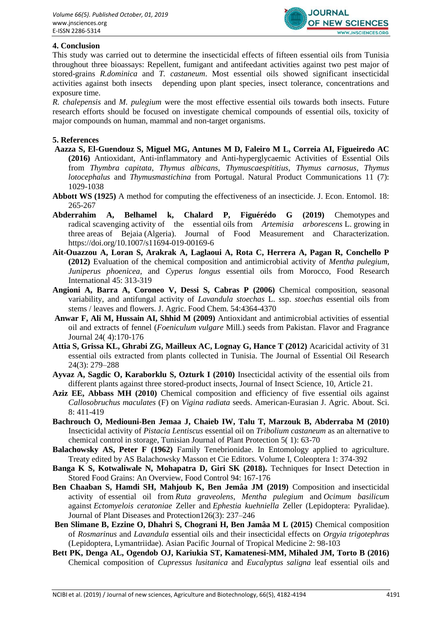

# **4. Conclusion**

This study was carried out to determine the insecticidal effects of fifteen essential oils from Tunisia throughout three bioassays: Repellent, fumigant and antifeedant activities against two pest major of stored-grains *R.dominica* and *T. castaneum*. Most essential oils showed significant insecticidal activities against both insects depending upon plant species, insect tolerance, concentrations and exposure time.

*R. chalepensis* and *M. pulegium* were the most effective essential oils towards both insects. Future research efforts should be focused on investigate chemical compounds of essential oils, toxicity of major compounds on human, mammal and non-target organisms.

#### **5. References**

- **Aazza S, El-Guendouz S, Miguel MG, Antunes M D, Faleiro M L, Correia AI, Figueiredo AC (2016)** Antioxidant, Anti-inflammatory and Anti-hyperglycaemic Activities of Essential Oils from *Thymbra capitata*, *Thymus albicans*, *Thymuscaespititius*, *Thymus carnosus*, *Thymus lotocephalus* and *Thymusmastichina* from Portugal. Natural Product Communications 11 (7): 1029-1038
- **Abbott WS (1925)** A method for computing the effectiveness of an insecticide. J. Econ. Entomol. 18: 265-267
- **Abderrahim A, Belhamel k, Chalard P, Figuérédo G (2019)** Chemotypes and radical scavenging activity of the essential oils from *Artemisia arborescens* L. growing in three areas of Bejaia (Algeria). Journal of Food Measurement and Characterization. https://doi.org/10.1007/s11694-019-00169-6
- **Ait-Ouazzou A, Loran S, Arakrak A, Laglaoui A, Rota C, Herrera A, Pagan R, Conchello P (2012)** Evaluation of the chemical composition and antimicrobial activity of *Mentha pulegium*, *Juniperus phoenicea*, and *Cyperus longus* essential oils from Morocco, Food Research International 45: 313-319
- **Angioni A, Barra A, Coroneo V, Dessi S, Cabras P (2006)** Chemical composition, seasonal variability, and antifungal activity of *Lavandula stoechas* L. ssp. *stoechas* essential oils from stems / leaves and flowers. J. Agric. Food Chem. 54:4364-4370
- **Anwar F, Ali M, Hussain AI, Shhid M (2009)** Antioxidant and antimicrobial activities of essential oil and extracts of fennel (*Foeniculum vulgare* Mill.) seeds from Pakistan. Flavor and Fragrance Journal 24( 4):170-176
- **Attia S, Grissa KL, Ghrabi ZG, Mailleux AC, Lognay G, Hance T (2012)** Acaricidal activity of 31 essential oils extracted from plants collected in Tunisia. The Journal of Essential Oil Research 24(3): 279–288
- **Ayvaz A, Sagdic O, Karaborklu S, Ozturk I (2010)** Insecticidal activity of the essential oils from different plants against three stored-product insects, Journal of Insect Science, 10, Article 21.
- **Aziz EE, Abbass MH (2010)** Chemical composition and efficiency of five essential oils against *Callosobruchus maculates* (F) on *Vigina radiata* seeds. American-Eurasian J. Agric. About. Sci. 8: 411-419
- **Bachrouch O, Mediouni-Ben Jemaa J, Chaieb IW, Talu T, Marzouk B, Abderraba M (2010)**  Insecticidal activity of *Pistacia Lentiscus* essential oil on *Tribolium castaneum* as an alternative to chemical control in storage, Tunisian Journal of Plant Protection 5( 1): 63-70
- **Balachowsky AS, Peter F (1962)** Family Tenebrionidae. In Entomology applied to agriculture. Treaty edited by AS Balachowsky Masson et Cie Editors. Volume I, Coleoptera 1: 374-392
- **Banga K S, Kotwaliwale N, Mohapatra D, Giri SK (2018).** Techniques for Insect Detection in Stored Food Grains: An Overview, Food Control 94: 167-176
- **Ben Chaaban S, Hamdi SH, Mahjoub K, Ben Jemâa JM (2019)** Composition and insecticidal activity of essential oil from *Ruta graveolens*, *Mentha pulegium* and *Ocimum basilicum* against *Ectomyelois ceratoniae* Zeller and *Ephestia kuehniella* Zeller (Lepidoptera: Pyralidae). Journal of Plant Diseases and Protection12[6\(3\)](https://link.springer.com/journal/41348/126/3/page/1): 237–246
- **Ben Slimane B, Ezzine O, Dhahri S, Chograni H, Ben Jamâa M L (2015)** Chemical composition of *Rosmarinus* and *Lavandula* essential oils and their insecticidal effects on *Orgyia trigotephras* (Lepidoptera, Lymantriidae). Asian Pacific Journal of Tropical Medicine 2: 98-103
- **Bett PK, Denga AL, Ogendob OJ, Kariukia ST, Kamatenesi-MM, Mihaled JM, Torto B (2016)** Chemical composition of *Cupressus lusitanica* and *Eucalyptus saligna* leaf essential oils and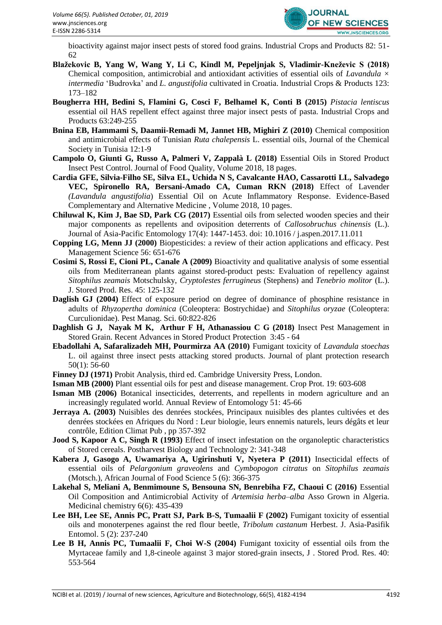

bioactivity against major insect pests of stored food grains. Industrial Crops and Products 82: 51- 62

- **Blažekovic B, Yang W, Wang Y, Li C, Kindl M, Pepeljnjak S, Vladimir-Kneževic S (2018)**  Chemical composition, antimicrobial and antioxidant activities of essential oils of *Lavandula × intermedia* 'Budrovka' and *L. angustifolia* cultivated in Croatia. Industrial Crops & Products 123: 173–182
- **Bougherra HH, Bedini S, Flamini G, Cosci F, Belhamel K, Conti B (2015)** *Pistacia lentiscus* essential oil HAS repellent effect against three major insect pests of pasta. Industrial Crops and Products 63:249-255
- **Bnina EB, Hammami S, Daamii-Remadi M, Jannet HB, Mighiri Z (2010)** Chemical composition and antimicrobial effects of Tunisian *Ruta chalepensis* L. essential oils, Journal of the Chemical Society in Tunisia 12:1-9
- **Campolo O, Giunti G, Russo A, Palmeri V, Zappalà L (2018)** Essential Oils in Stored Product Insect Pest Control. Journal of Food Quality, Volume 2018, 18 pages.
- **Cardia GFE, Silvia-Filho SE, Silva EL, Uchida N S, Cavalcante HAO, Cassarotti LL, Salvadego VEC, Spironello RA, Bersani-Amado CA, Cuman RKN (2018)** Effect of Lavender *(Lavandula angustifolia*) Essential Oil on Acute Inflammatory Response. Evidence-Based Complementary and Alternative Medicine , Volume 2018, 10 pages.
- **Chiluwal K, Kim J, Bae SD, Park CG (2017)** Essential oils from selected wooden species and their major components as repellents and oviposition deterrents of *Callosobruchus chinensis* (L.). Journal of Asia-Pacific Entomology 17(4): 1447-1453. doi: 10.1016 / j.aspen.2017.11.011
- **Copping LG, Menn JJ (2000)** Biopesticides: a review of their action applications and efficacy. Pest Management Science 56: 651-676
- **Cosimi S, Rossi E, Cioni PL, Canale A (2009)** Bioactivity and qualitative analysis of some essential oils from Mediterranean plants against stored-product pests: Evaluation of repellency against *Sitophilus zeamais* Motschulsky, *Cryptolestes ferrugineus* (Stephens) and *Tenebrio molitor* (L.). J. Stored Prod. Res. 45: 125-132
- **Daglish GJ (2004)** Effect of exposure period on degree of dominance of phosphine resistance in adults of *Rhyzopertha dominica* (Coleoptera: Bostrychidae) and *Sitophilus oryzae* (Coleoptera: Curculionidae). Pest Manag. Sci. 60:822-826
- **Daghlish G J, Nayak M K, Arthur F H, Athanassiou C G (2018)** Insect Pest Management in Stored Grain. Recent Advances in Stored Product Protection 3:45 - 64
- **Ebadollahi A, Safaralizadeh MH, Pourmirza AA (2010)** Fumigant toxicity of *Lavandula stoechas*  L. oil against three insect pests attacking stored products. Journal of plant protection research 50(1): 56-60
- **Finney DJ (1971)** Probit Analysis, third ed. Cambridge University Press, London.
- **Isman MB (2000)** Plant essential oils for pest and disease management. Crop Prot. 19: 603-608
- **Isman MB (2006)** Botanical insecticides, deterrents, and repellents in modern agriculture and an increasingly regulated world. Annual Review of Entomology 51: 45-66
- **Jerraya A. (2003)** Nuisibles des denrées stockées, Principaux nuisibles des plantes cultivées et des denrées stockées en Afriques du Nord : Leur biologie, leurs ennemis naturels, leurs dégâts et leur contrôle, Edition Climat Pub , pp 357-392
- **Jood S, Kapoor A C, Singh R (1993)** Effect of insect infestation on the organoleptic characteristics of Stored cereals. Postharvest Biology and Technology 2: 341-348
- **Kabera J, Gasogo A, Uwamariya A, Ugirinshuti V, Nyetera P (2011)** Insecticidal effects of essential oils of *Pelargonium graveolens* and *Cymbopogon citratus* on *Sitophilus zeamais* (Motsch.), African Journal of Food Science 5 (6): 366-375
- **Lakehal S, Meliani A, Benmimoune S, Bensouna SN, Benrebiha FZ, Chaoui C (2016)** Essential Oil Composition and Antimicrobial Activity of *Artemisia herba–alba* Asso Grown in Algeria. Medicinal chemistry 6(6): 435-439
- **Lee BH, Lee SE, Annis PC, Pratt SJ, Park B-S, Tumaalii F (2002)** Fumigant toxicity of essential oils and monoterpenes against the red flour beetle, *Tribolum castanum* Herbest. J. Asia-Pasifik Entomol. 5 (2): 237-240
- **Lee B H, Annis PC, Tumaalii F, Choi W-S (2004)** Fumigant toxicity of essential oils from the Myrtaceae family and 1,8-cineole against 3 major stored-grain insects, J . Stored Prod. Res. 40: 553-564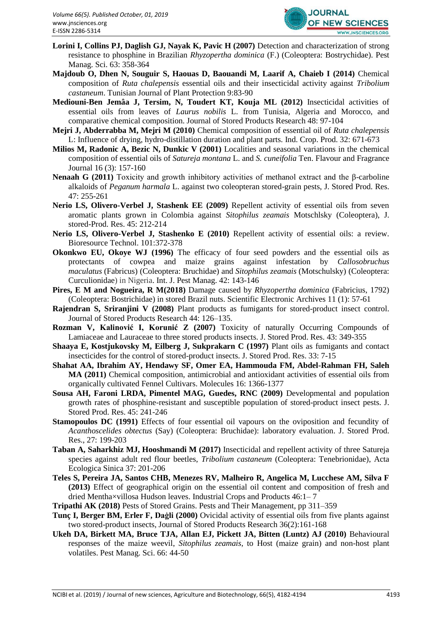

- **Lorini I, Collins PJ, Daglish GJ, Nayak K, Pavic H (2007)** Detection and characterization of strong resistance to phosphine in Brazilian *Rhyzopertha dominica* (F.) (Coleoptera: Bostrychidae). Pest Manag. Sci. 63: 358-364
- **Majdoub O, Dhen N, Souguir S, Haouas D, Baouandi M, Laarif A, Chaieb I (2014)** Chemical composition of *Ruta chalepensis* essential oils and their insecticidal activity against *Tribolium castaneum*. Tunisian Journal of Plant Protection 9:83-90
- **Mediouni-Ben Jemâa J, Tersim, N, Toudert KT, Kouja ML (2012)** Insecticidal activities of essential oils from leaves of *Laurus nobilis* L. from Tunisia, Algeria and Morocco, and comparative chemical composition. Journal of Stored Products Research 48: 97-104
- **Mejri J, Abderrabba M, Mejri M (2010)** Chemical composition of essential oil of *Ruta chalepensis* L: Influence of drying, hydro-distillation duration and plant parts. Ind. Crop. Prod. 32: 671-673
- **Milios M, Radonic A, Bezic N, Dunkic V (2001)** Localities and seasonal variations in the chemical composition of essential oils of *Satureja montana* L. and *S. cuneifolia* Ten. Flavour and Fragrance Journal 16 (3): 157-160
- **Nenaah G (2011)** Toxicity and growth inhibitory activities of methanol extract and the β-carboline alkaloids of *Peganum harmala* L. against two coleopteran stored-grain pests, J. Stored Prod. Res. 47: 255-261
- **Nerio LS, Olivero-Verbel J, Stashenk EE (2009)** Repellent activity of essential oils from seven aromatic plants grown in Colombia against *Sitophilus zeamais* Motschlsky (Coleoptera), J. stored-Prod. Res. 45: 212-214
- **Nerio LS, Olivero-Verbel J, Stashenko E (2010)** Repellent activity of essential oils: a review. Bioresource Technol. 101:372-378
- **Okonkwo EU, Okoye WJ (1996)** The efficacy of four seed powders and the essential oils as protectants of cowpea and maize grains against infestation by *Callosobruchus maculatus* (Fabricus) (Coleoptera: Bruchidae) and *Sitophilus zeamais* (Motschulsky) (Coleoptera: Curculionidae) in Nigeria. Int. J. Pest Manag. 42: 143-146
- **Pires, E M and Nogueira, R M(2018)** Damage caused by *Rhyzopertha dominica* (Fabricius, 1792) (Coleoptera: Bostrichidae) in stored Brazil nuts. Scientific Electronic Archives 11 (1): 57-61
- **Rajendran S, Sriranjini V (2008)** Plant products as fumigants for stored-product insect control. Journal of Stored Products Research 44: 126–135.
- **Rozman V, Kalinović I, Korunić Z (2007)** Toxicity of naturally Occurring Compounds of Lamiaceae and Lauraceae to three stored products insects. J. Stored Prod. Res. 43: 349-355
- **Shaaya E, Kostjukovsky M, Eilberg J, Sukprakarn C (1997)** Plant oils as fumigants and contact insecticides for the control of stored-product insects. J. Stored Prod. Res. 33: 7-15
- **Shahat AA, Ibrahim AY, Hendawy SF, Omer EA, Hammouda FM, Abdel-Rahman FH, Saleh MA (2011)** Chemical composition, antimicrobial and antioxidant activities of essential oils from organically cultivated Fennel Cultivars. Molecules 16: 1366-1377
- **Sousa AH, Faroni LRDA, Pimentel MAG, Guedes, RNC (2009)** Developmental and population growth rates of phosphine-resistant and susceptible population of stored-product insect pests. J. Stored Prod. Res. 45: 241-246
- **Stamopoulos DC (1991)** Effects of four essential oil vapours on the oviposition and fecundity of *Acanthoscelides obtectus* (Say) (Coleoptera: Bruchidae): laboratory evaluation. J. Stored Prod. Res., 27: 199-203
- **Taban A, Saharkhiz MJ, Hooshmandi M (2017)** Insecticidal and repellent activity of three Satureja species against adult red flour beetles, *Tribolium castaneum* (Coleoptera: Tenebrionidae), Acta Ecologica Sinica 37: 201-206
- **Teles S, Pereira JA, Santos CHB, Menezes RV, Malheiro R, Angelica M, Lucchese AM, Silva F (2013)** Effect of geographical origin on the essential oil content and composition of fresh and dried Mentha×villosa Hudson leaves. Industrial Crops and Products 46:1– 7
- **Tripathi AK (2018)** Pests of Stored Grains. Pests and Their Management, pp 311–359
- **Tunç I, Berger BM, Erler F, Daģli (2000)** Ovicidal activity of essential oils from five plants against two stored-product insects, Journal of Stored Products Research 36(2):161-168
- **Ukeh DA, Birkett MA, Bruce TJA, Allan EJ, Pickett JA, Bitten (Luntz) AJ (2010)** Behavioural responses of the maize weevil, *Sitophilus zeamais*, to Host (maize grain) and non-host plant volatiles. Pest Manag. Sci. 66: 44-50